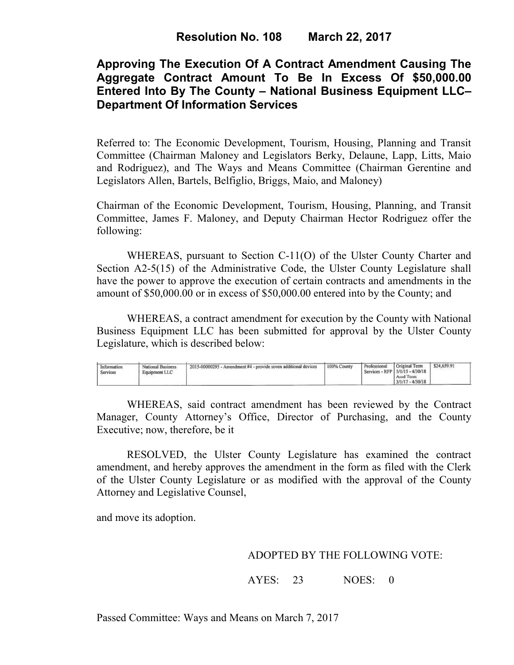# **Approving The Execution Of A Contract Amendment Causing The Aggregate Contract Amount To Be In Excess Of \$50,000.00 Entered Into By The County – National Business Equipment LLC– Department Of Information Services**

Referred to: The Economic Development, Tourism, Housing, Planning and Transit Committee (Chairman Maloney and Legislators Berky, Delaune, Lapp, Litts, Maio and Rodriguez), and The Ways and Means Committee (Chairman Gerentine and Legislators Allen, Bartels, Belfiglio, Briggs, Maio, and Maloney)

Chairman of the Economic Development, Tourism, Housing, Planning, and Transit Committee, James F. Maloney, and Deputy Chairman Hector Rodriguez offer the following:

WHEREAS, pursuant to Section C-11(O) of the Ulster County Charter and Section A2-5(15) of the Administrative Code, the Ulster County Legislature shall have the power to approve the execution of certain contracts and amendments in the amount of \$50,000.00 or in excess of \$50,000.00 entered into by the County; and

 WHEREAS, a contract amendment for execution by the County with National Business Equipment LLC has been submitted for approval by the Ulster County Legislature, which is described below:

| Information<br>Services | <b>National Business</b><br>Equipment LLC | 2015-00000295 - Amendment #4 - provide seven additional devices | 100% County | Professional | Original Term<br>Services - RFP 5/1/15 - 4/30/18<br>Anid Term<br>$3/1/17 - 4/30/18$ | \$24,659.91 |  |
|-------------------------|-------------------------------------------|-----------------------------------------------------------------|-------------|--------------|-------------------------------------------------------------------------------------|-------------|--|
|-------------------------|-------------------------------------------|-----------------------------------------------------------------|-------------|--------------|-------------------------------------------------------------------------------------|-------------|--|

WHEREAS, said contract amendment has been reviewed by the Contract Manager, County Attorney's Office, Director of Purchasing, and the County Executive; now, therefore, be it

RESOLVED, the Ulster County Legislature has examined the contract amendment, and hereby approves the amendment in the form as filed with the Clerk of the Ulster County Legislature or as modified with the approval of the County Attorney and Legislative Counsel,

and move its adoption.

### ADOPTED BY THE FOLLOWING VOTE:

AYES: 23 NOES: 0

Passed Committee: Ways and Means on March 7, 2017